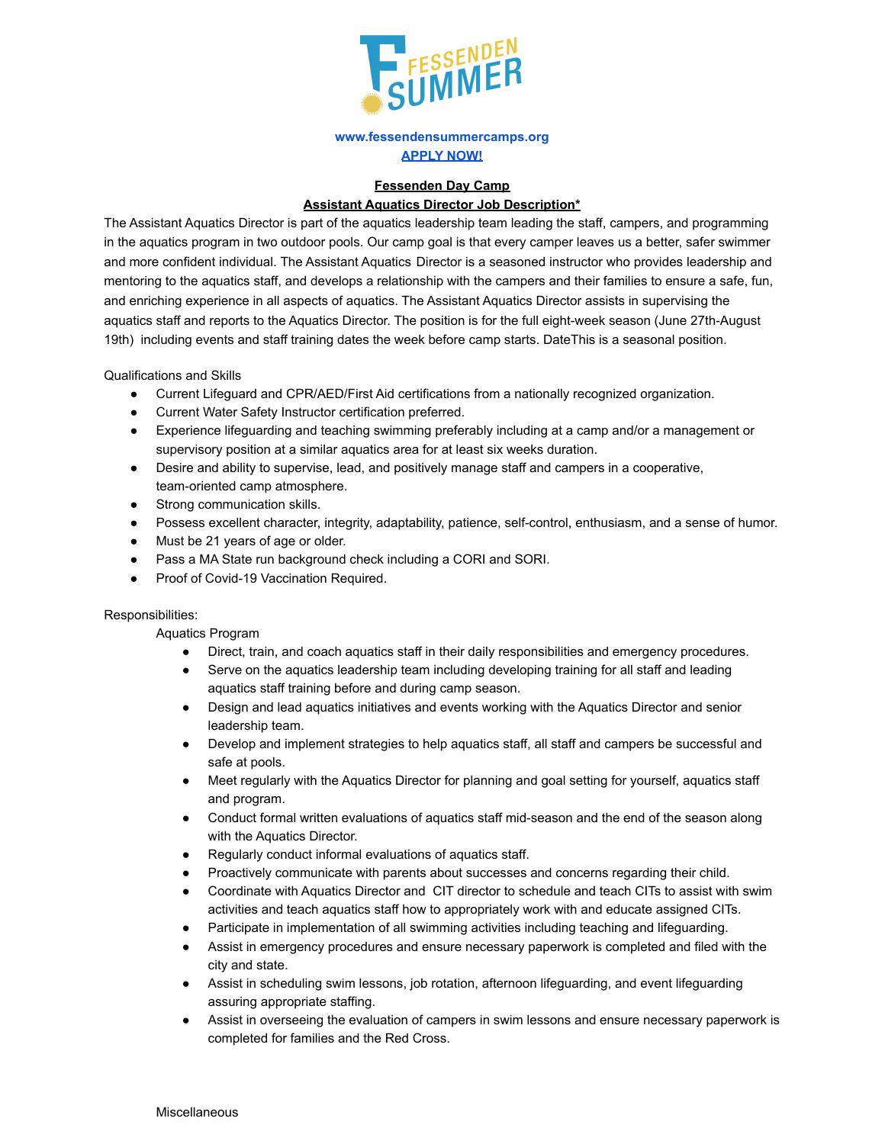

## **[www.fessendensummercamps.org](http://www.fessendensummercamps.org) [APPLY NOW!](https://fessenden.campintouch.com/ui/forms/application/staff/App)**

## **Fessenden Day Camp Assistant Aquatics Director Job Description\***

The Assistant Aquatics Director is part of the aquatics leadership team leading the staff, campers, and programming in the aquatics program in two outdoor pools. Our camp goal is that every camper leaves us a better, safer swimmer and more confident individual. The Assistant Aquatics Director is a seasoned instructor who provides leadership and mentoring to the aquatics staff, and develops a relationship with the campers and their families to ensure a safe, fun, and enriching experience in all aspects of aquatics. The Assistant Aquatics Director assists in supervising the aquatics staff and reports to the Aquatics Director. The position is for the full eight-week season (June 27th-August 19th) including events and staff training dates the week before camp starts. DateThis is a seasonal position.

Qualifications and Skills

- Current Lifeguard and CPR/AED/First Aid certifications from a nationally recognized organization.
- Current Water Safety Instructor certification preferred.
- Experience lifeguarding and teaching swimming preferably including at a camp and/or a management or supervisory position at a similar aquatics area for at least six weeks duration.
- Desire and ability to supervise, lead, and positively manage staff and campers in a cooperative, team-oriented camp atmosphere.
- Strong communication skills.
- Possess excellent character, integrity, adaptability, patience, self-control, enthusiasm, and a sense of humor.
- Must be 21 years of age or older.
- Pass a MA State run background check including a CORI and SORI.
- Proof of Covid-19 Vaccination Required.

## Responsibilities:

Aquatics Program

- Direct, train, and coach aquatics staff in their daily responsibilities and emergency procedures.
- Serve on the aquatics leadership team including developing training for all staff and leading aquatics staff training before and during camp season.
- Design and lead aquatics initiatives and events working with the Aquatics Director and senior leadership team.
- Develop and implement strategies to help aquatics staff, all staff and campers be successful and safe at pools.
- Meet regularly with the Aquatics Director for planning and goal setting for yourself, aquatics staff and program.
- Conduct formal written evaluations of aquatics staff mid-season and the end of the season along with the Aquatics Director.
- Regularly conduct informal evaluations of aquatics staff.
- Proactively communicate with parents about successes and concerns regarding their child.
- Coordinate with Aquatics Director and CIT director to schedule and teach CITs to assist with swim activities and teach aquatics staff how to appropriately work with and educate assigned CITs.
- Participate in implementation of all swimming activities including teaching and lifeguarding.
- Assist in emergency procedures and ensure necessary paperwork is completed and filed with the city and state.
- Assist in scheduling swim lessons, job rotation, afternoon lifeguarding, and event lifeguarding assuring appropriate staffing.
- Assist in overseeing the evaluation of campers in swim lessons and ensure necessary paperwork is completed for families and the Red Cross.